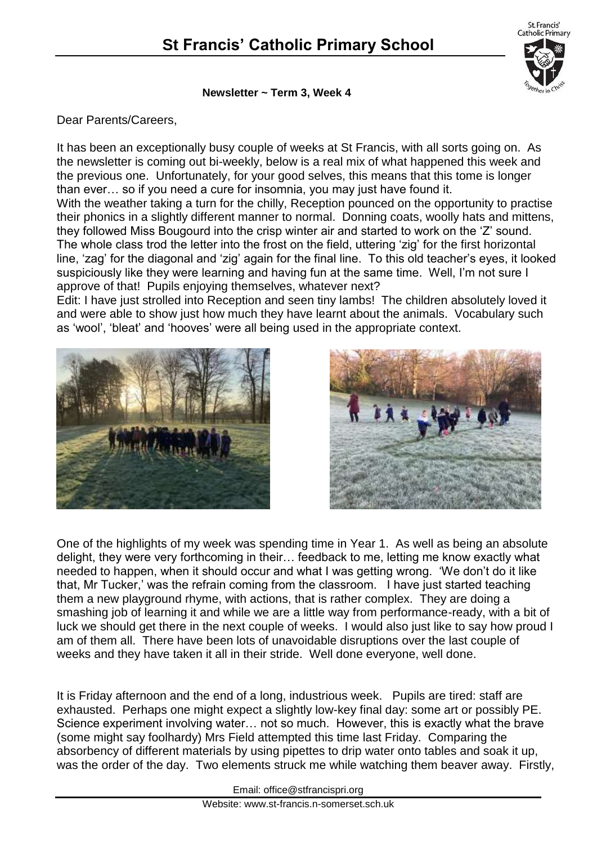St. Francis' Catholic Primary

#### **Newsletter ~ Term 3, Week 4**

### Dear Parents/Careers,

It has been an exceptionally busy couple of weeks at St Francis, with all sorts going on. As the newsletter is coming out bi-weekly, below is a real mix of what happened this week and the previous one. Unfortunately, for your good selves, this means that this tome is longer than ever… so if you need a cure for insomnia, you may just have found it.

With the weather taking a turn for the chilly, Reception pounced on the opportunity to practise their phonics in a slightly different manner to normal. Donning coats, woolly hats and mittens, they followed Miss Bougourd into the crisp winter air and started to work on the 'Z' sound. The whole class trod the letter into the frost on the field, uttering 'zig' for the first horizontal line, 'zag' for the diagonal and 'zig' again for the final line. To this old teacher's eyes, it looked suspiciously like they were learning and having fun at the same time. Well, I'm not sure I approve of that! Pupils enjoying themselves, whatever next?

Edit: I have just strolled into Reception and seen tiny lambs! The children absolutely loved it and were able to show just how much they have learnt about the animals. Vocabulary such as 'wool', 'bleat' and 'hooves' were all being used in the appropriate context.





One of the highlights of my week was spending time in Year 1. As well as being an absolute delight, they were very forthcoming in their… feedback to me, letting me know exactly what needed to happen, when it should occur and what I was getting wrong. 'We don't do it like that, Mr Tucker,' was the refrain coming from the classroom. I have just started teaching them a new playground rhyme, with actions, that is rather complex. They are doing a smashing job of learning it and while we are a little way from performance-ready, with a bit of luck we should get there in the next couple of weeks. I would also just like to say how proud I am of them all. There have been lots of unavoidable disruptions over the last couple of weeks and they have taken it all in their stride. Well done everyone, well done.

It is Friday afternoon and the end of a long, industrious week. Pupils are tired: staff are exhausted. Perhaps one might expect a slightly low-key final day: some art or possibly PE. Science experiment involving water… not so much. However, this is exactly what the brave (some might say foolhardy) Mrs Field attempted this time last Friday. Comparing the absorbency of different materials by using pipettes to drip water onto tables and soak it up, was the order of the day. Two elements struck me while watching them beaver away. Firstly,

Email: office@stfrancispri.org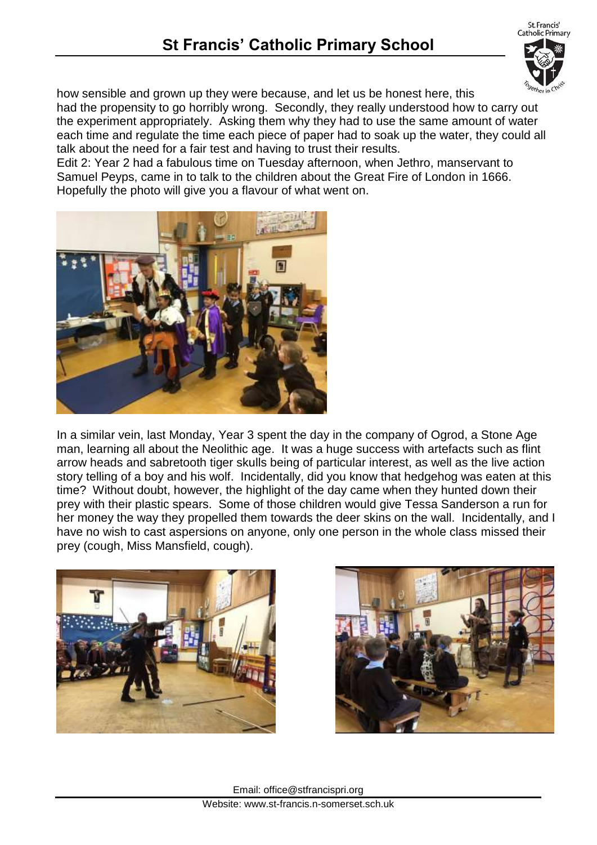St. Francis' Catholic Primary



how sensible and grown up they were because, and let us be honest here, this

had the propensity to go horribly wrong. Secondly, they really understood how to carry out the experiment appropriately. Asking them why they had to use the same amount of water each time and regulate the time each piece of paper had to soak up the water, they could all talk about the need for a fair test and having to trust their results.

Edit 2: Year 2 had a fabulous time on Tuesday afternoon, when Jethro, manservant to Samuel Peyps, came in to talk to the children about the Great Fire of London in 1666. Hopefully the photo will give you a flavour of what went on.



In a similar vein, last Monday, Year 3 spent the day in the company of Ogrod, a Stone Age man, learning all about the Neolithic age. It was a huge success with artefacts such as flint arrow heads and sabretooth tiger skulls being of particular interest, as well as the live action story telling of a boy and his wolf. Incidentally, did you know that hedgehog was eaten at this time? Without doubt, however, the highlight of the day came when they hunted down their prey with their plastic spears. Some of those children would give Tessa Sanderson a run for her money the way they propelled them towards the deer skins on the wall. Incidentally, and I have no wish to cast aspersions on anyone, only one person in the whole class missed their prey (cough, Miss Mansfield, cough).



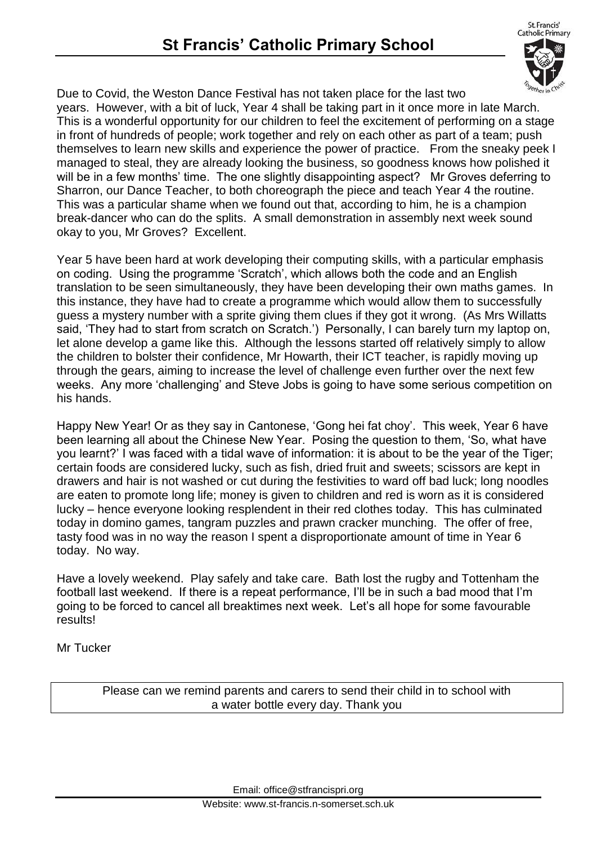St. Francis' Catholic Primary



Due to Covid, the Weston Dance Festival has not taken place for the last two years. However, with a bit of luck, Year 4 shall be taking part in it once more in late March. This is a wonderful opportunity for our children to feel the excitement of performing on a stage in front of hundreds of people; work together and rely on each other as part of a team; push themselves to learn new skills and experience the power of practice. From the sneaky peek I managed to steal, they are already looking the business, so goodness knows how polished it will be in a few months' time. The one slightly disappointing aspect? Mr Groves deferring to Sharron, our Dance Teacher, to both choreograph the piece and teach Year 4 the routine. This was a particular shame when we found out that, according to him, he is a champion break-dancer who can do the splits. A small demonstration in assembly next week sound okay to you, Mr Groves? Excellent.

Year 5 have been hard at work developing their computing skills, with a particular emphasis on coding. Using the programme 'Scratch', which allows both the code and an English translation to be seen simultaneously, they have been developing their own maths games. In this instance, they have had to create a programme which would allow them to successfully guess a mystery number with a sprite giving them clues if they got it wrong. (As Mrs Willatts said, 'They had to start from scratch on Scratch.') Personally, I can barely turn my laptop on, let alone develop a game like this. Although the lessons started off relatively simply to allow the children to bolster their confidence, Mr Howarth, their ICT teacher, is rapidly moving up through the gears, aiming to increase the level of challenge even further over the next few weeks. Any more 'challenging' and Steve Jobs is going to have some serious competition on his hands.

Happy New Year! Or as they say in Cantonese, 'Gong hei fat choy'. This week, Year 6 have been learning all about the Chinese New Year. Posing the question to them, 'So, what have you learnt?' I was faced with a tidal wave of information: it is about to be the year of the Tiger; certain foods are considered lucky, such as fish, dried fruit and sweets; scissors are kept in drawers and hair is not washed or cut during the festivities to ward off bad luck; long noodles are eaten to promote long life; money is given to children and red is worn as it is considered lucky – hence everyone looking resplendent in their red clothes today. This has culminated today in domino games, tangram puzzles and prawn cracker munching. The offer of free, tasty food was in no way the reason I spent a disproportionate amount of time in Year 6 today. No way.

Have a lovely weekend. Play safely and take care. Bath lost the rugby and Tottenham the football last weekend. If there is a repeat performance, I'll be in such a bad mood that I'm going to be forced to cancel all breaktimes next week. Let's all hope for some favourable results!

Mr Tucker

Please can we remind parents and carers to send their child in to school with a water bottle every day. Thank you

Email: office@stfrancispri.org